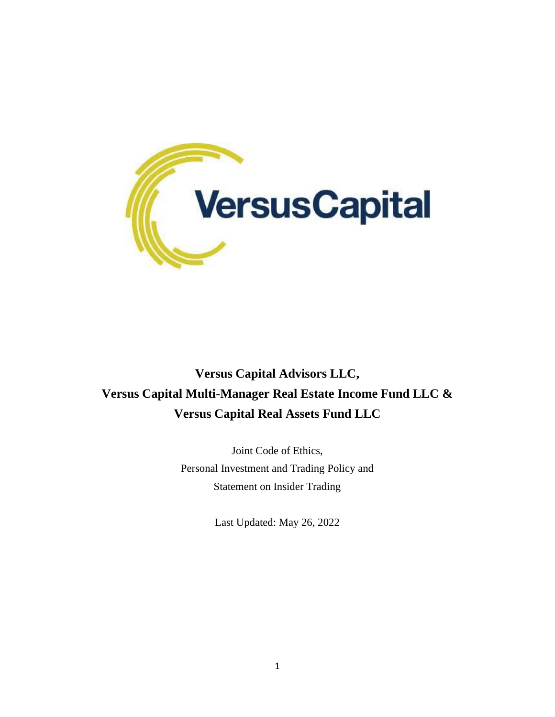

# **Versus Capital Advisors LLC, Versus Capital Multi-Manager Real Estate Income Fund LLC & Versus Capital Real Assets Fund LLC**

Joint Code of Ethics, Personal Investment and Trading Policy and Statement on Insider Trading

Last Updated: May 26, 2022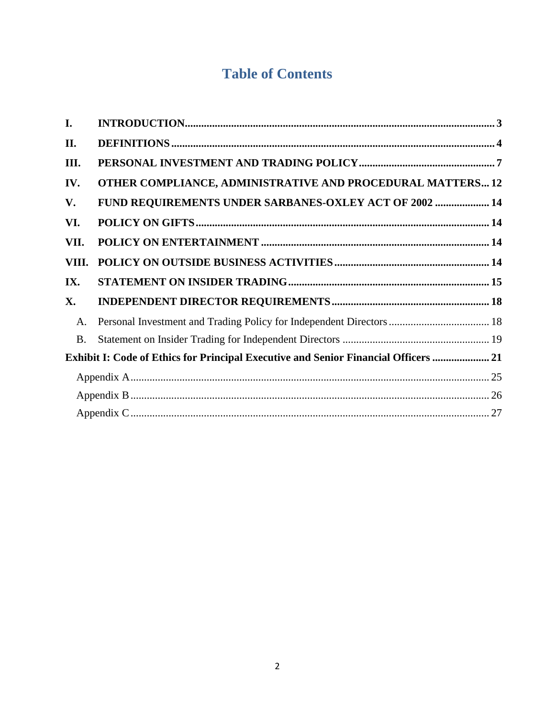# **Table of Contents**

| I.                                                                                  |                                                                      |  |
|-------------------------------------------------------------------------------------|----------------------------------------------------------------------|--|
| II.                                                                                 |                                                                      |  |
| III.                                                                                |                                                                      |  |
| IV.                                                                                 | OTHER COMPLIANCE, ADMINISTRATIVE AND PROCEDURAL MATTERS 12           |  |
| V.                                                                                  | FUND REQUIREMENTS UNDER SARBANES-OXLEY ACT OF 2002  14               |  |
| VI.                                                                                 |                                                                      |  |
| VII.                                                                                |                                                                      |  |
| VIII.                                                                               |                                                                      |  |
| IX.                                                                                 |                                                                      |  |
| X.                                                                                  |                                                                      |  |
| A.                                                                                  | Personal Investment and Trading Policy for Independent Directors  18 |  |
| <b>B.</b>                                                                           |                                                                      |  |
| Exhibit I: Code of Ethics for Principal Executive and Senior Financial Officers  21 |                                                                      |  |
|                                                                                     |                                                                      |  |
|                                                                                     |                                                                      |  |
|                                                                                     |                                                                      |  |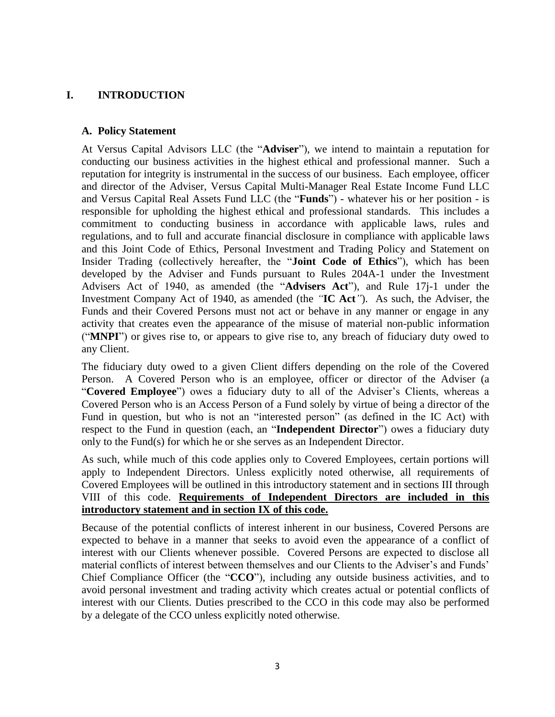# <span id="page-2-0"></span>**I. INTRODUCTION**

### **A. Policy Statement**

At Versus Capital Advisors LLC (the "**Adviser**"), we intend to maintain a reputation for conducting our business activities in the highest ethical and professional manner. Such a reputation for integrity is instrumental in the success of our business. Each employee, officer and director of the Adviser, Versus Capital Multi-Manager Real Estate Income Fund LLC and Versus Capital Real Assets Fund LLC (the "**Funds**") - whatever his or her position - is responsible for upholding the highest ethical and professional standards. This includes a commitment to conducting business in accordance with applicable laws, rules and regulations, and to full and accurate financial disclosure in compliance with applicable laws and this Joint Code of Ethics, Personal Investment and Trading Policy and Statement on Insider Trading (collectively hereafter, the "**Joint Code of Ethics**"), which has been developed by the Adviser and Funds pursuant to Rules 204A-1 under the Investment Advisers Act of 1940, as amended (the "**Advisers Act**"), and Rule 17j-1 under the Investment Company Act of 1940, as amended (the *"***IC Act***"*). As such, the Adviser, the Funds and their Covered Persons must not act or behave in any manner or engage in any activity that creates even the appearance of the misuse of material non-public information ("**MNPI**") or gives rise to, or appears to give rise to, any breach of fiduciary duty owed to any Client.

The fiduciary duty owed to a given Client differs depending on the role of the Covered Person. A Covered Person who is an employee, officer or director of the Adviser (a "**Covered Employee**") owes a fiduciary duty to all of the Adviser's Clients, whereas a Covered Person who is an Access Person of a Fund solely by virtue of being a director of the Fund in question, but who is not an "interested person" (as defined in the IC Act) with respect to the Fund in question (each, an "**Independent Director**") owes a fiduciary duty only to the Fund(s) for which he or she serves as an Independent Director.

As such, while much of this code applies only to Covered Employees, certain portions will apply to Independent Directors. Unless explicitly noted otherwise, all requirements of Covered Employees will be outlined in this introductory statement and in sections III through VIII of this code. **Requirements of Independent Directors are included in this introductory statement and in section IX of this code.**

Because of the potential conflicts of interest inherent in our business, Covered Persons are expected to behave in a manner that seeks to avoid even the appearance of a conflict of interest with our Clients whenever possible. Covered Persons are expected to disclose all material conflicts of interest between themselves and our Clients to the Adviser's and Funds' Chief Compliance Officer (the "**CCO**"), including any outside business activities, and to avoid personal investment and trading activity which creates actual or potential conflicts of interest with our Clients. Duties prescribed to the CCO in this code may also be performed by a delegate of the CCO unless explicitly noted otherwise.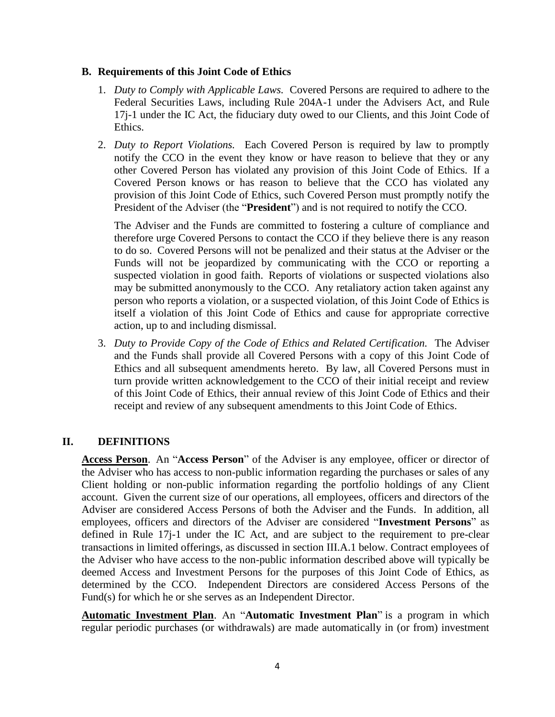### **B. Requirements of this Joint Code of Ethics**

- 1. *Duty to Comply with Applicable Laws.* Covered Persons are required to adhere to the Federal Securities Laws, including Rule 204A-1 under the Advisers Act, and Rule 17j-1 under the IC Act, the fiduciary duty owed to our Clients, and this Joint Code of Ethics.
- 2. *Duty to Report Violations.* Each Covered Person is required by law to promptly notify the CCO in the event they know or have reason to believe that they or any other Covered Person has violated any provision of this Joint Code of Ethics. If a Covered Person knows or has reason to believe that the CCO has violated any provision of this Joint Code of Ethics, such Covered Person must promptly notify the President of the Adviser (the "**President**") and is not required to notify the CCO.

The Adviser and the Funds are committed to fostering a culture of compliance and therefore urge Covered Persons to contact the CCO if they believe there is any reason to do so. Covered Persons will not be penalized and their status at the Adviser or the Funds will not be jeopardized by communicating with the CCO or reporting a suspected violation in good faith. Reports of violations or suspected violations also may be submitted anonymously to the CCO. Any retaliatory action taken against any person who reports a violation, or a suspected violation, of this Joint Code of Ethics is itself a violation of this Joint Code of Ethics and cause for appropriate corrective action, up to and including dismissal.

3. *Duty to Provide Copy of the Code of Ethics and Related Certification.* The Adviser and the Funds shall provide all Covered Persons with a copy of this Joint Code of Ethics and all subsequent amendments hereto. By law, all Covered Persons must in turn provide written acknowledgement to the CCO of their initial receipt and review of this Joint Code of Ethics, their annual review of this Joint Code of Ethics and their receipt and review of any subsequent amendments to this Joint Code of Ethics.

# <span id="page-3-0"></span>**II. DEFINITIONS**

**Access Person**. An "**Access Person**" of the Adviser is any employee, officer or director of the Adviser who has access to non-public information regarding the purchases or sales of any Client holding or non-public information regarding the portfolio holdings of any Client account. Given the current size of our operations, all employees, officers and directors of the Adviser are considered Access Persons of both the Adviser and the Funds. In addition, all employees, officers and directors of the Adviser are considered "**Investment Persons**" as defined in Rule 17j-1 under the IC Act, and are subject to the requirement to pre-clear transactions in limited offerings, as discussed in section III.A.1 below. Contract employees of the Adviser who have access to the non-public information described above will typically be deemed Access and Investment Persons for the purposes of this Joint Code of Ethics, as determined by the CCO. Independent Directors are considered Access Persons of the Fund(s) for which he or she serves as an Independent Director.

**Automatic Investment Plan**. An "**Automatic Investment Plan**" is a program in which regular periodic purchases (or withdrawals) are made automatically in (or from) investment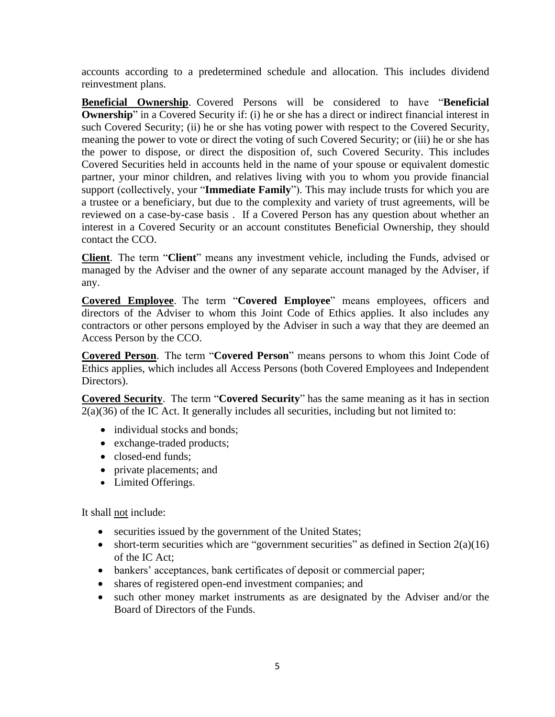accounts according to a predetermined schedule and allocation. This includes dividend reinvestment plans.

**Beneficial Ownership**. Covered Persons will be considered to have "**Beneficial Ownership**" in a Covered Security if: (i) he or she has a direct or indirect financial interest in such Covered Security; (ii) he or she has voting power with respect to the Covered Security, meaning the power to vote or direct the voting of such Covered Security; or (iii) he or she has the power to dispose, or direct the disposition of, such Covered Security. This includes Covered Securities held in accounts held in the name of your spouse or equivalent domestic partner, your minor children, and relatives living with you to whom you provide financial support (collectively, your "**Immediate Family**"). This may include trusts for which you are a trustee or a beneficiary, but due to the complexity and variety of trust agreements, will be reviewed on a case-by-case basis . If a Covered Person has any question about whether an interest in a Covered Security or an account constitutes Beneficial Ownership, they should contact the CCO.

**Client**. The term "**Client**" means any investment vehicle, including the Funds, advised or managed by the Adviser and the owner of any separate account managed by the Adviser, if any.

**Covered Employee**. The term "**Covered Employee**" means employees, officers and directors of the Adviser to whom this Joint Code of Ethics applies. It also includes any contractors or other persons employed by the Adviser in such a way that they are deemed an Access Person by the CCO.

**Covered Person**. The term "**Covered Person**" means persons to whom this Joint Code of Ethics applies, which includes all Access Persons (both Covered Employees and Independent Directors).

**Covered Security**. The term "**Covered Security**" has the same meaning as it has in section 2(a)(36) of the IC Act. It generally includes all securities, including but not limited to:

- individual stocks and bonds;
- exchange-traded products;
- closed-end funds;
- private placements; and
- Limited Offerings.

It shall not include:

- securities issued by the government of the United States;
- short-term securities which are "government securities" as defined in Section  $2(a)(16)$ of the IC Act;
- bankers' acceptances, bank certificates of deposit or commercial paper;
- shares of registered open-end investment companies; and
- such other money market instruments as are designated by the Adviser and/or the Board of Directors of the Funds.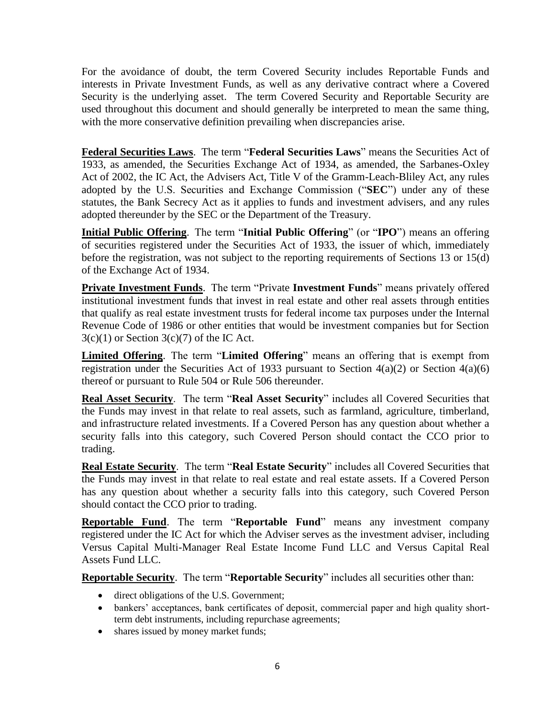For the avoidance of doubt, the term Covered Security includes Reportable Funds and interests in Private Investment Funds, as well as any derivative contract where a Covered Security is the underlying asset. The term Covered Security and Reportable Security are used throughout this document and should generally be interpreted to mean the same thing, with the more conservative definition prevailing when discrepancies arise.

**Federal Securities Laws**. The term "**Federal Securities Laws**" means the Securities Act of 1933, as amended, the Securities Exchange Act of 1934, as amended, the Sarbanes-Oxley Act of 2002, the IC Act, the Advisers Act, Title V of the Gramm-Leach-Bliley Act, any rules adopted by the U.S. Securities and Exchange Commission ("**SEC**") under any of these statutes, the Bank Secrecy Act as it applies to funds and investment advisers, and any rules adopted thereunder by the SEC or the Department of the Treasury.

**Initial Public Offering**. The term "**Initial Public Offering**" (or "**IPO**") means an offering of securities registered under the Securities Act of 1933, the issuer of which, immediately before the registration, was not subject to the reporting requirements of Sections 13 or 15(d) of the Exchange Act of 1934.

**Private Investment Funds**. The term "Private **Investment Funds**" means privately offered institutional investment funds that invest in real estate and other real assets through entities that qualify as real estate investment trusts for federal income tax purposes under the Internal Revenue Code of 1986 or other entities that would be investment companies but for Section  $3(c)(1)$  or Section  $3(c)(7)$  of the IC Act.

**Limited Offering**. The term "**Limited Offering**" means an offering that is exempt from registration under the Securities Act of 1933 pursuant to Section  $4(a)(2)$  or Section  $4(a)(6)$ thereof or pursuant to Rule 504 or Rule 506 thereunder.

**Real Asset Security**. The term "**Real Asset Security**" includes all Covered Securities that the Funds may invest in that relate to real assets, such as farmland, agriculture, timberland, and infrastructure related investments. If a Covered Person has any question about whether a security falls into this category, such Covered Person should contact the CCO prior to trading.

**Real Estate Security**. The term "**Real Estate Security**" includes all Covered Securities that the Funds may invest in that relate to real estate and real estate assets. If a Covered Person has any question about whether a security falls into this category, such Covered Person should contact the CCO prior to trading.

**Reportable Fund**. The term "**Reportable Fund**" means any investment company registered under the IC Act for which the Adviser serves as the investment adviser, including Versus Capital Multi-Manager Real Estate Income Fund LLC and Versus Capital Real Assets Fund LLC.

**Reportable Security**. The term "**Reportable Security**" includes all securities other than:

- direct obligations of the U.S. Government;
- bankers' acceptances, bank certificates of deposit, commercial paper and high quality shortterm debt instruments, including repurchase agreements;
- shares issued by money market funds;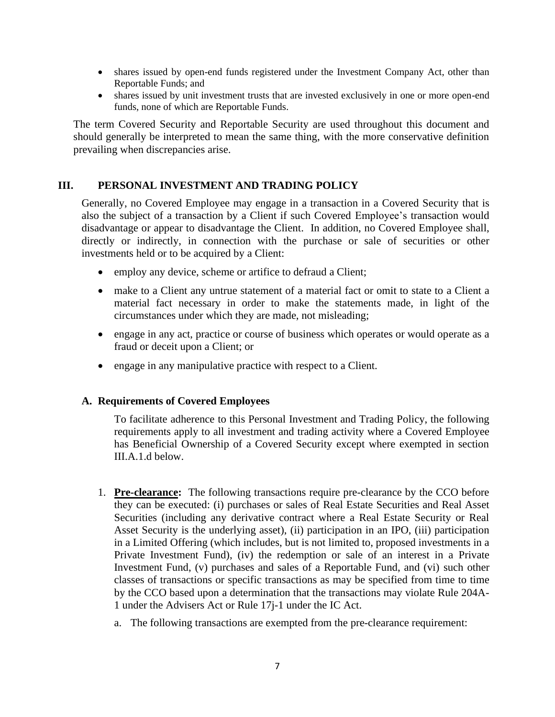- shares issued by open-end funds registered under the Investment Company Act, other than Reportable Funds; and
- shares issued by unit investment trusts that are invested exclusively in one or more open-end funds, none of which are Reportable Funds.

The term Covered Security and Reportable Security are used throughout this document and should generally be interpreted to mean the same thing, with the more conservative definition prevailing when discrepancies arise.

### <span id="page-6-0"></span>**III. PERSONAL INVESTMENT AND TRADING POLICY**

Generally, no Covered Employee may engage in a transaction in a Covered Security that is also the subject of a transaction by a Client if such Covered Employee's transaction would disadvantage or appear to disadvantage the Client. In addition, no Covered Employee shall, directly or indirectly, in connection with the purchase or sale of securities or other investments held or to be acquired by a Client:

- employ any device, scheme or artifice to defraud a Client;
- make to a Client any untrue statement of a material fact or omit to state to a Client a material fact necessary in order to make the statements made, in light of the circumstances under which they are made, not misleading;
- engage in any act, practice or course of business which operates or would operate as a fraud or deceit upon a Client; or
- engage in any manipulative practice with respect to a Client.

#### **A. Requirements of Covered Employees**

To facilitate adherence to this Personal Investment and Trading Policy, the following requirements apply to all investment and trading activity where a Covered Employee has Beneficial Ownership of a Covered Security except where exempted in section III.A.1.d below.

- 1. **Pre-clearance:** The following transactions require pre-clearance by the CCO before they can be executed: (i) purchases or sales of Real Estate Securities and Real Asset Securities (including any derivative contract where a Real Estate Security or Real Asset Security is the underlying asset), (ii) participation in an IPO, (iii) participation in a Limited Offering (which includes, but is not limited to, proposed investments in a Private Investment Fund), (iv) the redemption or sale of an interest in a Private Investment Fund, (v) purchases and sales of a Reportable Fund, and (vi) such other classes of transactions or specific transactions as may be specified from time to time by the CCO based upon a determination that the transactions may violate Rule 204A-1 under the Advisers Act or Rule 17j-1 under the IC Act.
	- a. The following transactions are exempted from the pre-clearance requirement: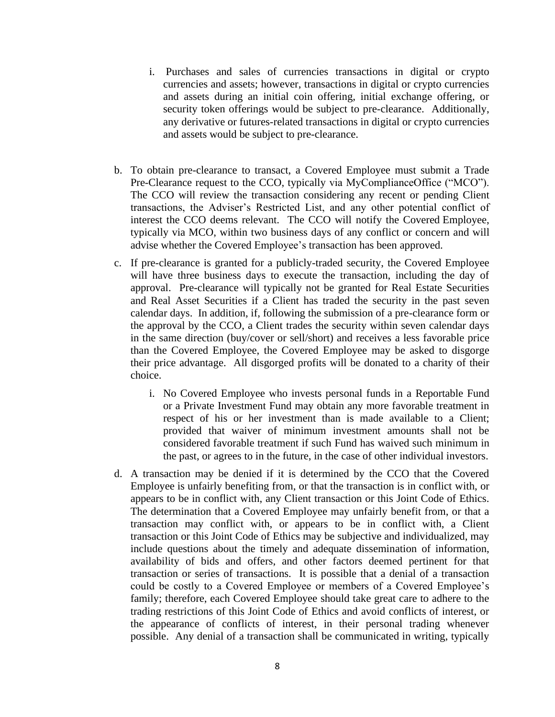- i. Purchases and sales of currencies transactions in digital or crypto currencies and assets; however, transactions in digital or crypto currencies and assets during an initial coin offering, initial exchange offering, or security token offerings would be subject to pre-clearance. Additionally, any derivative or futures-related transactions in digital or crypto currencies and assets would be subject to pre-clearance.
- b. To obtain pre-clearance to transact, a Covered Employee must submit a Trade Pre-Clearance request to the CCO, typically via MyComplianceOffice ("MCO"). The CCO will review the transaction considering any recent or pending Client transactions, the Adviser's Restricted List, and any other potential conflict of interest the CCO deems relevant. The CCO will notify the Covered Employee, typically via MCO, within two business days of any conflict or concern and will advise whether the Covered Employee's transaction has been approved.
- c. If pre-clearance is granted for a publicly-traded security, the Covered Employee will have three business days to execute the transaction, including the day of approval. Pre-clearance will typically not be granted for Real Estate Securities and Real Asset Securities if a Client has traded the security in the past seven calendar days. In addition, if, following the submission of a pre-clearance form or the approval by the CCO, a Client trades the security within seven calendar days in the same direction (buy/cover or sell/short) and receives a less favorable price than the Covered Employee, the Covered Employee may be asked to disgorge their price advantage. All disgorged profits will be donated to a charity of their choice.
	- i. No Covered Employee who invests personal funds in a Reportable Fund or a Private Investment Fund may obtain any more favorable treatment in respect of his or her investment than is made available to a Client; provided that waiver of minimum investment amounts shall not be considered favorable treatment if such Fund has waived such minimum in the past, or agrees to in the future, in the case of other individual investors.
- d. A transaction may be denied if it is determined by the CCO that the Covered Employee is unfairly benefiting from, or that the transaction is in conflict with, or appears to be in conflict with, any Client transaction or this Joint Code of Ethics. The determination that a Covered Employee may unfairly benefit from, or that a transaction may conflict with, or appears to be in conflict with, a Client transaction or this Joint Code of Ethics may be subjective and individualized, may include questions about the timely and adequate dissemination of information, availability of bids and offers, and other factors deemed pertinent for that transaction or series of transactions. It is possible that a denial of a transaction could be costly to a Covered Employee or members of a Covered Employee's family; therefore, each Covered Employee should take great care to adhere to the trading restrictions of this Joint Code of Ethics and avoid conflicts of interest, or the appearance of conflicts of interest, in their personal trading whenever possible. Any denial of a transaction shall be communicated in writing, typically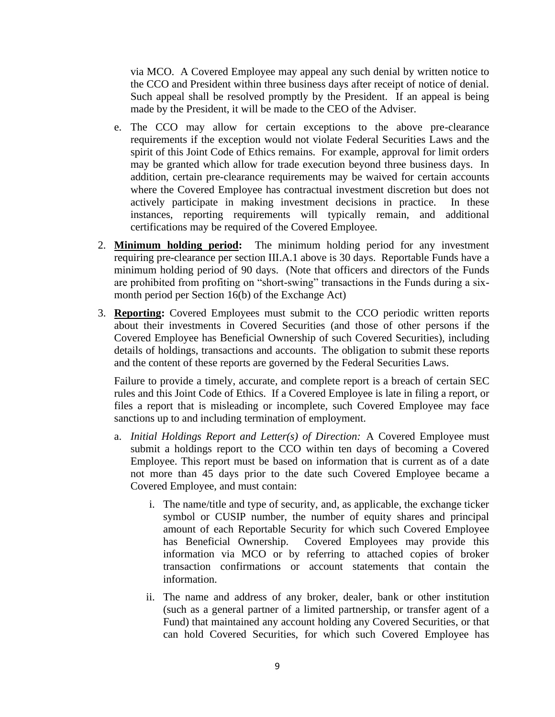via MCO. A Covered Employee may appeal any such denial by written notice to the CCO and President within three business days after receipt of notice of denial. Such appeal shall be resolved promptly by the President. If an appeal is being made by the President, it will be made to the CEO of the Adviser.

- e. The CCO may allow for certain exceptions to the above pre-clearance requirements if the exception would not violate Federal Securities Laws and the spirit of this Joint Code of Ethics remains. For example, approval for limit orders may be granted which allow for trade execution beyond three business days. In addition, certain pre-clearance requirements may be waived for certain accounts where the Covered Employee has contractual investment discretion but does not actively participate in making investment decisions in practice. In these instances, reporting requirements will typically remain, and additional certifications may be required of the Covered Employee.
- 2. **Minimum holding period:** The minimum holding period for any investment requiring pre-clearance per section III.A.1 above is 30 days. Reportable Funds have a minimum holding period of 90 days. (Note that officers and directors of the Funds are prohibited from profiting on "short-swing" transactions in the Funds during a sixmonth period per Section 16(b) of the Exchange Act)
- 3. **Reporting:** Covered Employees must submit to the CCO periodic written reports about their investments in Covered Securities (and those of other persons if the Covered Employee has Beneficial Ownership of such Covered Securities), including details of holdings, transactions and accounts. The obligation to submit these reports and the content of these reports are governed by the Federal Securities Laws.

Failure to provide a timely, accurate, and complete report is a breach of certain SEC rules and this Joint Code of Ethics. If a Covered Employee is late in filing a report, or files a report that is misleading or incomplete, such Covered Employee may face sanctions up to and including termination of employment.

- a. *Initial Holdings Report and Letter(s) of Direction:* A Covered Employee must submit a holdings report to the CCO within ten days of becoming a Covered Employee. This report must be based on information that is current as of a date not more than 45 days prior to the date such Covered Employee became a Covered Employee, and must contain:
	- i. The name/title and type of security, and, as applicable, the exchange ticker symbol or CUSIP number, the number of equity shares and principal amount of each Reportable Security for which such Covered Employee has Beneficial Ownership. Covered Employees may provide this information via MCO or by referring to attached copies of broker transaction confirmations or account statements that contain the information.
	- ii. The name and address of any broker, dealer, bank or other institution (such as a general partner of a limited partnership, or transfer agent of a Fund) that maintained any account holding any Covered Securities, or that can hold Covered Securities, for which such Covered Employee has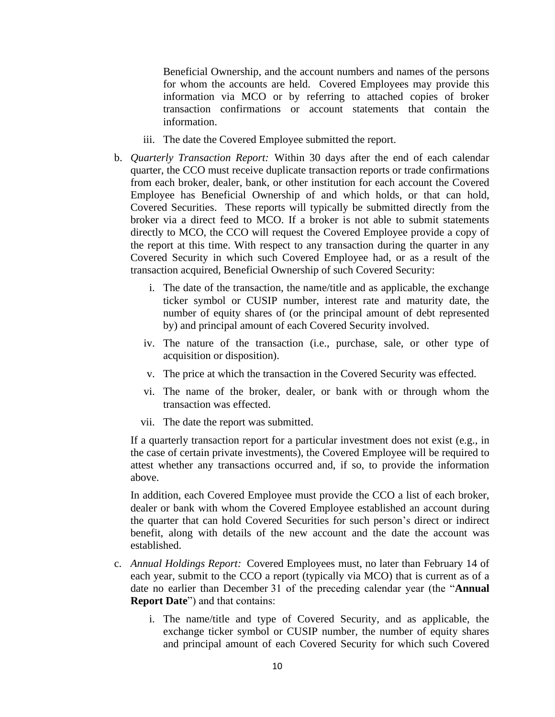Beneficial Ownership, and the account numbers and names of the persons for whom the accounts are held. Covered Employees may provide this information via MCO or by referring to attached copies of broker transaction confirmations or account statements that contain the information.

- iii. The date the Covered Employee submitted the report.
- b. *Quarterly Transaction Report:* Within 30 days after the end of each calendar quarter, the CCO must receive duplicate transaction reports or trade confirmations from each broker, dealer, bank, or other institution for each account the Covered Employee has Beneficial Ownership of and which holds, or that can hold, Covered Securities. These reports will typically be submitted directly from the broker via a direct feed to MCO. If a broker is not able to submit statements directly to MCO, the CCO will request the Covered Employee provide a copy of the report at this time. With respect to any transaction during the quarter in any Covered Security in which such Covered Employee had, or as a result of the transaction acquired, Beneficial Ownership of such Covered Security:
	- i. The date of the transaction, the name/title and as applicable, the exchange ticker symbol or CUSIP number, interest rate and maturity date, the number of equity shares of (or the principal amount of debt represented by) and principal amount of each Covered Security involved.
	- iv. The nature of the transaction (i.e., purchase, sale, or other type of acquisition or disposition).
	- v. The price at which the transaction in the Covered Security was effected.
	- vi. The name of the broker, dealer, or bank with or through whom the transaction was effected.
	- vii. The date the report was submitted.

If a quarterly transaction report for a particular investment does not exist (e.g., in the case of certain private investments), the Covered Employee will be required to attest whether any transactions occurred and, if so, to provide the information above.

In addition, each Covered Employee must provide the CCO a list of each broker, dealer or bank with whom the Covered Employee established an account during the quarter that can hold Covered Securities for such person's direct or indirect benefit, along with details of the new account and the date the account was established.

- c. *Annual Holdings Report:* Covered Employees must, no later than February 14 of each year, submit to the CCO a report (typically via MCO) that is current as of a date no earlier than December 31 of the preceding calendar year (the "**Annual Report Date**") and that contains:
	- i. The name/title and type of Covered Security, and as applicable, the exchange ticker symbol or CUSIP number, the number of equity shares and principal amount of each Covered Security for which such Covered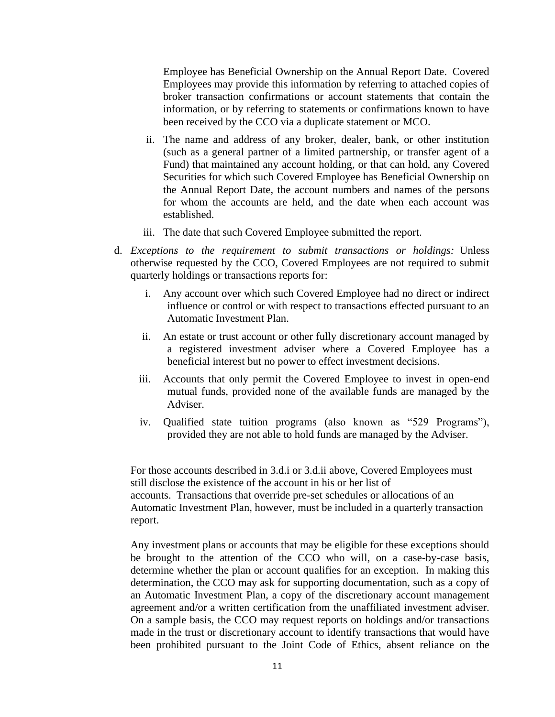Employee has Beneficial Ownership on the Annual Report Date. Covered Employees may provide this information by referring to attached copies of broker transaction confirmations or account statements that contain the information, or by referring to statements or confirmations known to have been received by the CCO via a duplicate statement or MCO.

- ii. The name and address of any broker, dealer, bank, or other institution (such as a general partner of a limited partnership, or transfer agent of a Fund) that maintained any account holding, or that can hold, any Covered Securities for which such Covered Employee has Beneficial Ownership on the Annual Report Date, the account numbers and names of the persons for whom the accounts are held, and the date when each account was established.
- iii. The date that such Covered Employee submitted the report.
- d. *Exceptions to the requirement to submit transactions or holdings:* Unless otherwise requested by the CCO, Covered Employees are not required to submit quarterly holdings or transactions reports for:
	- i. Any account over which such Covered Employee had no direct or indirect influence or control or with respect to transactions effected pursuant to an Automatic Investment Plan.
	- ii. An estate or trust account or other fully discretionary account managed by a registered investment adviser where a Covered Employee has a beneficial interest but no power to effect investment decisions.
	- iii. Accounts that only permit the Covered Employee to invest in open-end mutual funds, provided none of the available funds are managed by the Adviser.
	- iv. Qualified state tuition programs (also known as "529 Programs"), provided they are not able to hold funds are managed by the Adviser.

For those accounts described in 3.d.i or 3.d.ii above, Covered Employees must still disclose the existence of the account in his or her list of accounts. Transactions that override pre-set schedules or allocations of an Automatic Investment Plan, however, must be included in a quarterly transaction report.

Any investment plans or accounts that may be eligible for these exceptions should be brought to the attention of the CCO who will, on a case-by-case basis, determine whether the plan or account qualifies for an exception. In making this determination, the CCO may ask for supporting documentation, such as a copy of an Automatic Investment Plan, a copy of the discretionary account management agreement and/or a written certification from the unaffiliated investment adviser. On a sample basis, the CCO may request reports on holdings and/or transactions made in the trust or discretionary account to identify transactions that would have been prohibited pursuant to the Joint Code of Ethics, absent reliance on the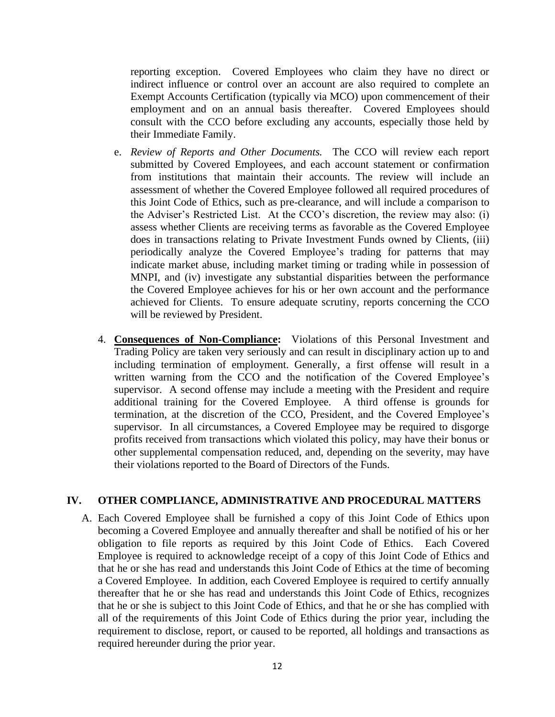reporting exception. Covered Employees who claim they have no direct or indirect influence or control over an account are also required to complete an Exempt Accounts Certification (typically via MCO) upon commencement of their employment and on an annual basis thereafter. Covered Employees should consult with the CCO before excluding any accounts, especially those held by their Immediate Family.

- e. *Review of Reports and Other Documents.* The CCO will review each report submitted by Covered Employees, and each account statement or confirmation from institutions that maintain their accounts. The review will include an assessment of whether the Covered Employee followed all required procedures of this Joint Code of Ethics, such as pre-clearance, and will include a comparison to the Adviser's Restricted List. At the CCO's discretion, the review may also: (i) assess whether Clients are receiving terms as favorable as the Covered Employee does in transactions relating to Private Investment Funds owned by Clients, (iii) periodically analyze the Covered Employee's trading for patterns that may indicate market abuse, including market timing or trading while in possession of MNPI, and (iv) investigate any substantial disparities between the performance the Covered Employee achieves for his or her own account and the performance achieved for Clients. To ensure adequate scrutiny, reports concerning the CCO will be reviewed by President.
- 4. **Consequences of Non-Compliance:** Violations of this Personal Investment and Trading Policy are taken very seriously and can result in disciplinary action up to and including termination of employment. Generally, a first offense will result in a written warning from the CCO and the notification of the Covered Employee's supervisor. A second offense may include a meeting with the President and require additional training for the Covered Employee. A third offense is grounds for termination, at the discretion of the CCO, President, and the Covered Employee's supervisor. In all circumstances, a Covered Employee may be required to disgorge profits received from transactions which violated this policy, may have their bonus or other supplemental compensation reduced, and, depending on the severity, may have their violations reported to the Board of Directors of the Funds.

#### <span id="page-11-0"></span>**IV. OTHER COMPLIANCE, ADMINISTRATIVE AND PROCEDURAL MATTERS**

A. Each Covered Employee shall be furnished a copy of this Joint Code of Ethics upon becoming a Covered Employee and annually thereafter and shall be notified of his or her obligation to file reports as required by this Joint Code of Ethics. Each Covered Employee is required to acknowledge receipt of a copy of this Joint Code of Ethics and that he or she has read and understands this Joint Code of Ethics at the time of becoming a Covered Employee. In addition, each Covered Employee is required to certify annually thereafter that he or she has read and understands this Joint Code of Ethics, recognizes that he or she is subject to this Joint Code of Ethics, and that he or she has complied with all of the requirements of this Joint Code of Ethics during the prior year, including the requirement to disclose, report, or caused to be reported, all holdings and transactions as required hereunder during the prior year.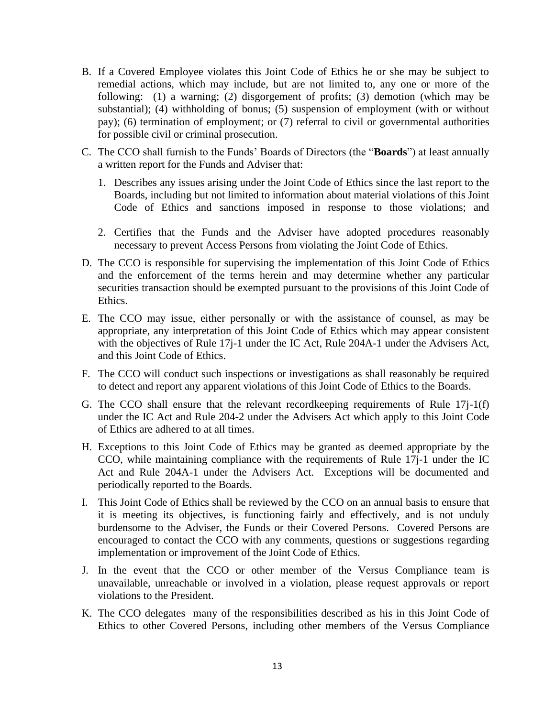- B. If a Covered Employee violates this Joint Code of Ethics he or she may be subject to remedial actions, which may include, but are not limited to, any one or more of the following: (1) a warning; (2) disgorgement of profits; (3) demotion (which may be substantial); (4) withholding of bonus; (5) suspension of employment (with or without pay); (6) termination of employment; or (7) referral to civil or governmental authorities for possible civil or criminal prosecution.
- C. The CCO shall furnish to the Funds' Boards of Directors (the "**Boards**") at least annually a written report for the Funds and Adviser that:
	- 1. Describes any issues arising under the Joint Code of Ethics since the last report to the Boards, including but not limited to information about material violations of this Joint Code of Ethics and sanctions imposed in response to those violations; and
	- 2. Certifies that the Funds and the Adviser have adopted procedures reasonably necessary to prevent Access Persons from violating the Joint Code of Ethics.
- D. The CCO is responsible for supervising the implementation of this Joint Code of Ethics and the enforcement of the terms herein and may determine whether any particular securities transaction should be exempted pursuant to the provisions of this Joint Code of Ethics.
- E. The CCO may issue, either personally or with the assistance of counsel, as may be appropriate, any interpretation of this Joint Code of Ethics which may appear consistent with the objectives of Rule 17j-1 under the IC Act, Rule 204A-1 under the Advisers Act, and this Joint Code of Ethics.
- F. The CCO will conduct such inspections or investigations as shall reasonably be required to detect and report any apparent violations of this Joint Code of Ethics to the Boards.
- G. The CCO shall ensure that the relevant recordkeeping requirements of Rule 17j-1(f) under the IC Act and Rule 204-2 under the Advisers Act which apply to this Joint Code of Ethics are adhered to at all times.
- H. Exceptions to this Joint Code of Ethics may be granted as deemed appropriate by the CCO, while maintaining compliance with the requirements of Rule 17j-1 under the IC Act and Rule 204A-1 under the Advisers Act. Exceptions will be documented and periodically reported to the Boards.
- I. This Joint Code of Ethics shall be reviewed by the CCO on an annual basis to ensure that it is meeting its objectives, is functioning fairly and effectively, and is not unduly burdensome to the Adviser, the Funds or their Covered Persons. Covered Persons are encouraged to contact the CCO with any comments, questions or suggestions regarding implementation or improvement of the Joint Code of Ethics.
- J. In the event that the CCO or other member of the Versus Compliance team is unavailable, unreachable or involved in a violation, please request approvals or report violations to the President.
- K. The CCO delegates many of the responsibilities described as his in this Joint Code of Ethics to other Covered Persons, including other members of the Versus Compliance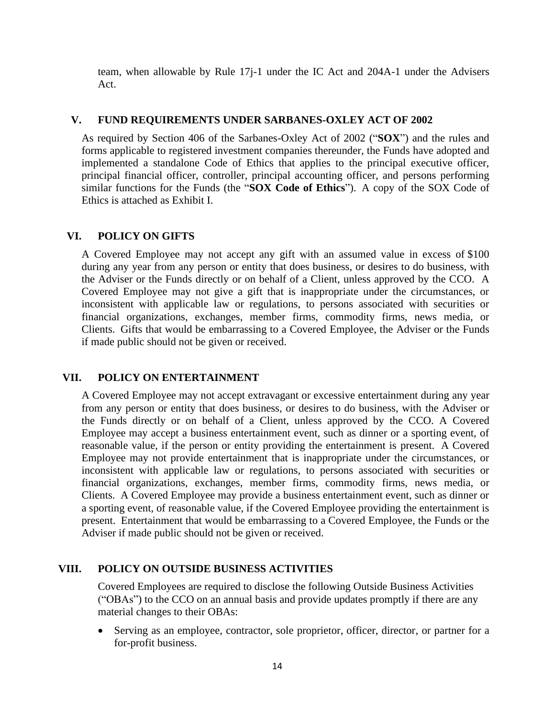team, when allowable by Rule 17j-1 under the IC Act and 204A-1 under the Advisers Act.

### <span id="page-13-0"></span>**V. FUND REQUIREMENTS UNDER SARBANES-OXLEY ACT OF 2002**

As required by Section 406 of the Sarbanes-Oxley Act of 2002 ("**SOX**") and the rules and forms applicable to registered investment companies thereunder, the Funds have adopted and implemented a standalone Code of Ethics that applies to the principal executive officer, principal financial officer, controller, principal accounting officer, and persons performing similar functions for the Funds (the "**SOX Code of Ethics**"). A copy of the SOX Code of Ethics is attached as Exhibit I.

### <span id="page-13-1"></span>**VI. POLICY ON GIFTS**

A Covered Employee may not accept any gift with an assumed value in excess of \$100 during any year from any person or entity that does business, or desires to do business, with the Adviser or the Funds directly or on behalf of a Client, unless approved by the CCO. A Covered Employee may not give a gift that is inappropriate under the circumstances, or inconsistent with applicable law or regulations, to persons associated with securities or financial organizations, exchanges, member firms, commodity firms, news media, or Clients. Gifts that would be embarrassing to a Covered Employee, the Adviser or the Funds if made public should not be given or received.

# <span id="page-13-2"></span>**VII. POLICY ON ENTERTAINMENT**

A Covered Employee may not accept extravagant or excessive entertainment during any year from any person or entity that does business, or desires to do business, with the Adviser or the Funds directly or on behalf of a Client, unless approved by the CCO. A Covered Employee may accept a business entertainment event, such as dinner or a sporting event, of reasonable value, if the person or entity providing the entertainment is present. A Covered Employee may not provide entertainment that is inappropriate under the circumstances, or inconsistent with applicable law or regulations, to persons associated with securities or financial organizations, exchanges, member firms, commodity firms, news media, or Clients. A Covered Employee may provide a business entertainment event, such as dinner or a sporting event, of reasonable value, if the Covered Employee providing the entertainment is present. Entertainment that would be embarrassing to a Covered Employee, the Funds or the Adviser if made public should not be given or received.

# <span id="page-13-3"></span>**VIII. POLICY ON OUTSIDE BUSINESS ACTIVITIES**

Covered Employees are required to disclose the following Outside Business Activities ("OBAs") to the CCO on an annual basis and provide updates promptly if there are any material changes to their OBAs:

• Serving as an employee, contractor, sole proprietor, officer, director, or partner for a for-profit business.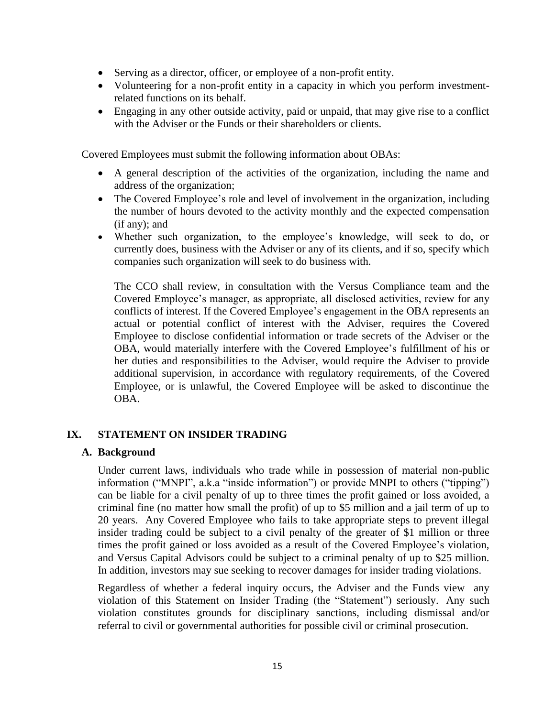- Serving as a director, officer, or employee of a non-profit entity.
- Volunteering for a non-profit entity in a capacity in which you perform investmentrelated functions on its behalf.
- Engaging in any other outside activity, paid or unpaid, that may give rise to a conflict with the Adviser or the Funds or their shareholders or clients.

Covered Employees must submit the following information about OBAs:

- A general description of the activities of the organization, including the name and address of the organization;
- The Covered Employee's role and level of involvement in the organization, including the number of hours devoted to the activity monthly and the expected compensation (if any); and
- Whether such organization, to the employee's knowledge, will seek to do, or currently does, business with the Adviser or any of its clients, and if so, specify which companies such organization will seek to do business with.

The CCO shall review, in consultation with the Versus Compliance team and the Covered Employee's manager, as appropriate, all disclosed activities, review for any conflicts of interest. If the Covered Employee's engagement in the OBA represents an actual or potential conflict of interest with the Adviser, requires the Covered Employee to disclose confidential information or trade secrets of the Adviser or the OBA, would materially interfere with the Covered Employee's fulfillment of his or her duties and responsibilities to the Adviser, would require the Adviser to provide additional supervision, in accordance with regulatory requirements, of the Covered Employee, or is unlawful, the Covered Employee will be asked to discontinue the OBA.

### <span id="page-14-0"></span>**IX. STATEMENT ON INSIDER TRADING**

### **A. Background**

Under current laws, individuals who trade while in possession of material non-public information ("MNPI", a.k.a "inside information") or provide MNPI to others ("tipping") can be liable for a civil penalty of up to three times the profit gained or loss avoided, a criminal fine (no matter how small the profit) of up to \$5 million and a jail term of up to 20 years. Any Covered Employee who fails to take appropriate steps to prevent illegal insider trading could be subject to a civil penalty of the greater of \$1 million or three times the profit gained or loss avoided as a result of the Covered Employee's violation, and Versus Capital Advisors could be subject to a criminal penalty of up to \$25 million. In addition, investors may sue seeking to recover damages for insider trading violations.

Regardless of whether a federal inquiry occurs, the Adviser and the Funds view any violation of this Statement on Insider Trading (the "Statement") seriously. Any such violation constitutes grounds for disciplinary sanctions, including dismissal and/or referral to civil or governmental authorities for possible civil or criminal prosecution.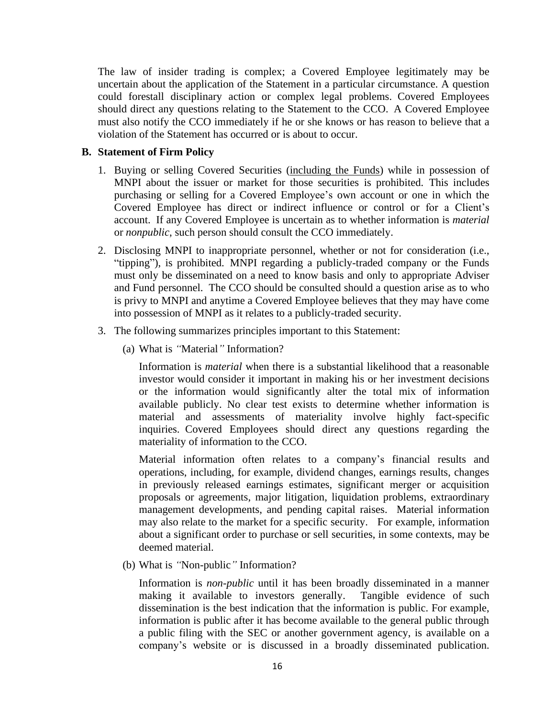The law of insider trading is complex; a Covered Employee legitimately may be uncertain about the application of the Statement in a particular circumstance. A question could forestall disciplinary action or complex legal problems. Covered Employees should direct any questions relating to the Statement to the CCO. A Covered Employee must also notify the CCO immediately if he or she knows or has reason to believe that a violation of the Statement has occurred or is about to occur.

#### **B. Statement of Firm Policy**

- 1. Buying or selling Covered Securities (including the Funds) while in possession of MNPI about the issuer or market for those securities is prohibited. This includes purchasing or selling for a Covered Employee's own account or one in which the Covered Employee has direct or indirect influence or control or for a Client's account. If any Covered Employee is uncertain as to whether information is *material* or *nonpublic*, such person should consult the CCO immediately.
- 2. Disclosing MNPI to inappropriate personnel, whether or not for consideration (i.e., "tipping"), is prohibited. MNPI regarding a publicly-traded company or the Funds must only be disseminated on a need to know basis and only to appropriate Adviser and Fund personnel. The CCO should be consulted should a question arise as to who is privy to MNPI and anytime a Covered Employee believes that they may have come into possession of MNPI as it relates to a publicly-traded security.
- 3. The following summarizes principles important to this Statement:
	- (a) What is *"*Material*"* Information?

Information is *material* when there is a substantial likelihood that a reasonable investor would consider it important in making his or her investment decisions or the information would significantly alter the total mix of information available publicly. No clear test exists to determine whether information is material and assessments of materiality involve highly fact-specific inquiries. Covered Employees should direct any questions regarding the materiality of information to the CCO.

Material information often relates to a company's financial results and operations, including, for example, dividend changes, earnings results, changes in previously released earnings estimates, significant merger or acquisition proposals or agreements, major litigation, liquidation problems, extraordinary management developments, and pending capital raises. Material information may also relate to the market for a specific security. For example, information about a significant order to purchase or sell securities, in some contexts, may be deemed material.

(b) What is *"*Non-public*"* Information?

Information is *non-public* until it has been broadly disseminated in a manner making it available to investors generally. Tangible evidence of such dissemination is the best indication that the information is public. For example, information is public after it has become available to the general public through a public filing with the SEC or another government agency, is available on a company's website or is discussed in a broadly disseminated publication.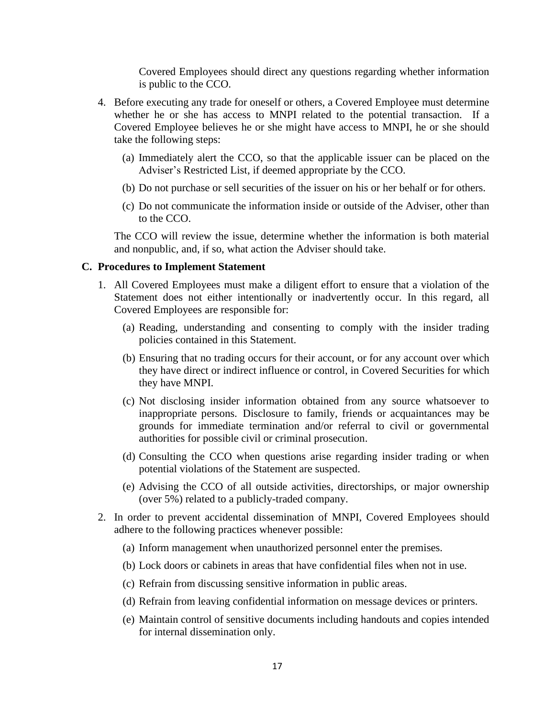Covered Employees should direct any questions regarding whether information is public to the CCO.

- 4. Before executing any trade for oneself or others, a Covered Employee must determine whether he or she has access to MNPI related to the potential transaction. If a Covered Employee believes he or she might have access to MNPI, he or she should take the following steps:
	- (a) Immediately alert the CCO, so that the applicable issuer can be placed on the Adviser's Restricted List, if deemed appropriate by the CCO.
	- (b) Do not purchase or sell securities of the issuer on his or her behalf or for others.
	- (c) Do not communicate the information inside or outside of the Adviser, other than to the CCO.

The CCO will review the issue, determine whether the information is both material and nonpublic, and, if so, what action the Adviser should take.

#### **C. Procedures to Implement Statement**

- 1. All Covered Employees must make a diligent effort to ensure that a violation of the Statement does not either intentionally or inadvertently occur. In this regard, all Covered Employees are responsible for:
	- (a) Reading, understanding and consenting to comply with the insider trading policies contained in this Statement.
	- (b) Ensuring that no trading occurs for their account, or for any account over which they have direct or indirect influence or control, in Covered Securities for which they have MNPI.
	- (c) Not disclosing insider information obtained from any source whatsoever to inappropriate persons. Disclosure to family, friends or acquaintances may be grounds for immediate termination and/or referral to civil or governmental authorities for possible civil or criminal prosecution.
	- (d) Consulting the CCO when questions arise regarding insider trading or when potential violations of the Statement are suspected.
	- (e) Advising the CCO of all outside activities, directorships, or major ownership (over 5%) related to a publicly-traded company.
- 2. In order to prevent accidental dissemination of MNPI, Covered Employees should adhere to the following practices whenever possible:
	- (a) Inform management when unauthorized personnel enter the premises.
	- (b) Lock doors or cabinets in areas that have confidential files when not in use.
	- (c) Refrain from discussing sensitive information in public areas.
	- (d) Refrain from leaving confidential information on message devices or printers.
	- (e) Maintain control of sensitive documents including handouts and copies intended for internal dissemination only.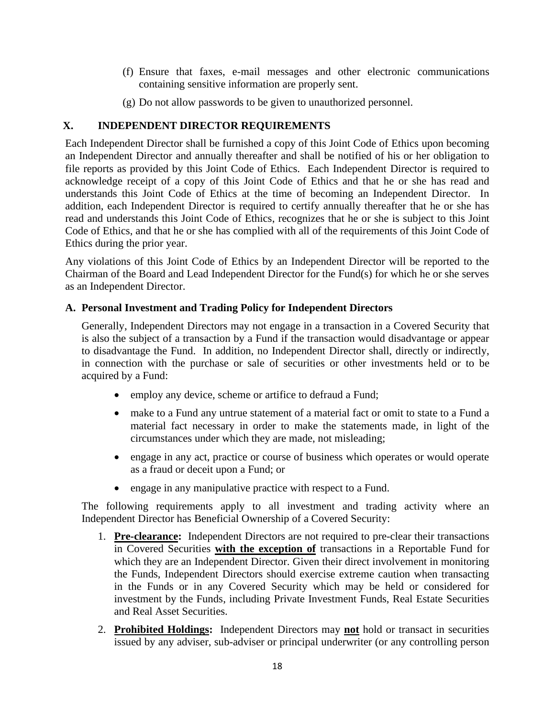- (f) Ensure that faxes, e-mail messages and other electronic communications containing sensitive information are properly sent.
- (g) Do not allow passwords to be given to unauthorized personnel.

## <span id="page-17-0"></span>**X. INDEPENDENT DIRECTOR REQUIREMENTS**

Each Independent Director shall be furnished a copy of this Joint Code of Ethics upon becoming an Independent Director and annually thereafter and shall be notified of his or her obligation to file reports as provided by this Joint Code of Ethics. Each Independent Director is required to acknowledge receipt of a copy of this Joint Code of Ethics and that he or she has read and understands this Joint Code of Ethics at the time of becoming an Independent Director. In addition, each Independent Director is required to certify annually thereafter that he or she has read and understands this Joint Code of Ethics, recognizes that he or she is subject to this Joint Code of Ethics, and that he or she has complied with all of the requirements of this Joint Code of Ethics during the prior year.

Any violations of this Joint Code of Ethics by an Independent Director will be reported to the Chairman of the Board and Lead Independent Director for the Fund(s) for which he or she serves as an Independent Director.

## <span id="page-17-1"></span>**A. Personal Investment and Trading Policy for Independent Directors**

Generally, Independent Directors may not engage in a transaction in a Covered Security that is also the subject of a transaction by a Fund if the transaction would disadvantage or appear to disadvantage the Fund. In addition, no Independent Director shall, directly or indirectly, in connection with the purchase or sale of securities or other investments held or to be acquired by a Fund:

- employ any device, scheme or artifice to defraud a Fund;
- make to a Fund any untrue statement of a material fact or omit to state to a Fund a material fact necessary in order to make the statements made, in light of the circumstances under which they are made, not misleading;
- engage in any act, practice or course of business which operates or would operate as a fraud or deceit upon a Fund; or
- engage in any manipulative practice with respect to a Fund.

The following requirements apply to all investment and trading activity where an Independent Director has Beneficial Ownership of a Covered Security:

- 1. **Pre-clearance:** Independent Directors are not required to pre-clear their transactions in Covered Securities **with the exception of** transactions in a Reportable Fund for which they are an Independent Director. Given their direct involvement in monitoring the Funds, Independent Directors should exercise extreme caution when transacting in the Funds or in any Covered Security which may be held or considered for investment by the Funds, including Private Investment Funds, Real Estate Securities and Real Asset Securities.
- 2. **Prohibited Holdings:** Independent Directors may **not** hold or transact in securities issued by any adviser, sub-adviser or principal underwriter (or any controlling person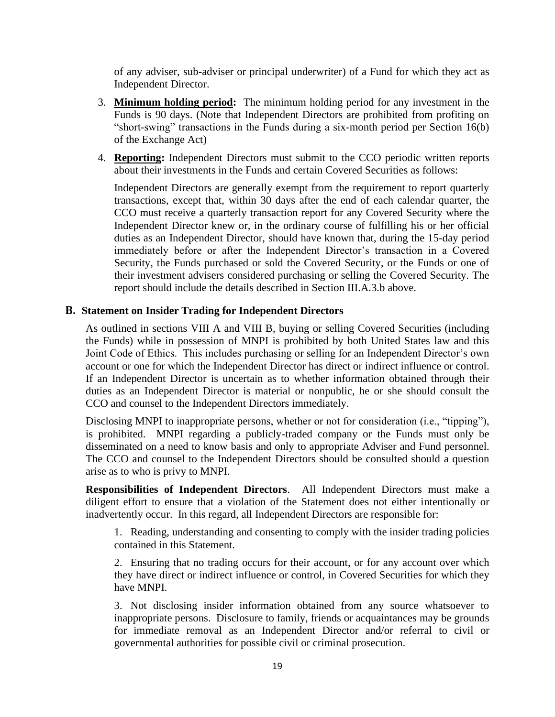of any adviser, sub-adviser or principal underwriter) of a Fund for which they act as Independent Director.

- 3. **Minimum holding period:** The minimum holding period for any investment in the Funds is 90 days. (Note that Independent Directors are prohibited from profiting on "short-swing" transactions in the Funds during a six-month period per Section 16(b) of the Exchange Act)
- 4. **Reporting:** Independent Directors must submit to the CCO periodic written reports about their investments in the Funds and certain Covered Securities as follows:

Independent Directors are generally exempt from the requirement to report quarterly transactions, except that, within 30 days after the end of each calendar quarter, the CCO must receive a quarterly transaction report for any Covered Security where the Independent Director knew or, in the ordinary course of fulfilling his or her official duties as an Independent Director, should have known that, during the 15-day period immediately before or after the Independent Director's transaction in a Covered Security, the Funds purchased or sold the Covered Security, or the Funds or one of their investment advisers considered purchasing or selling the Covered Security. The report should include the details described in Section III.A.3.b above.

### <span id="page-18-0"></span>**B. Statement on Insider Trading for Independent Directors**

As outlined in sections VIII A and VIII B, buying or selling Covered Securities (including the Funds) while in possession of MNPI is prohibited by both United States law and this Joint Code of Ethics. This includes purchasing or selling for an Independent Director's own account or one for which the Independent Director has direct or indirect influence or control. If an Independent Director is uncertain as to whether information obtained through their duties as an Independent Director is material or nonpublic, he or she should consult the CCO and counsel to the Independent Directors immediately.

Disclosing MNPI to inappropriate persons, whether or not for consideration (i.e., "tipping"), is prohibited. MNPI regarding a publicly-traded company or the Funds must only be disseminated on a need to know basis and only to appropriate Adviser and Fund personnel. The CCO and counsel to the Independent Directors should be consulted should a question arise as to who is privy to MNPI.

**Responsibilities of Independent Directors**. All Independent Directors must make a diligent effort to ensure that a violation of the Statement does not either intentionally or inadvertently occur. In this regard, all Independent Directors are responsible for:

1. Reading, understanding and consenting to comply with the insider trading policies contained in this Statement.

2. Ensuring that no trading occurs for their account, or for any account over which they have direct or indirect influence or control, in Covered Securities for which they have MNPI.

3. Not disclosing insider information obtained from any source whatsoever to inappropriate persons. Disclosure to family, friends or acquaintances may be grounds for immediate removal as an Independent Director and/or referral to civil or governmental authorities for possible civil or criminal prosecution.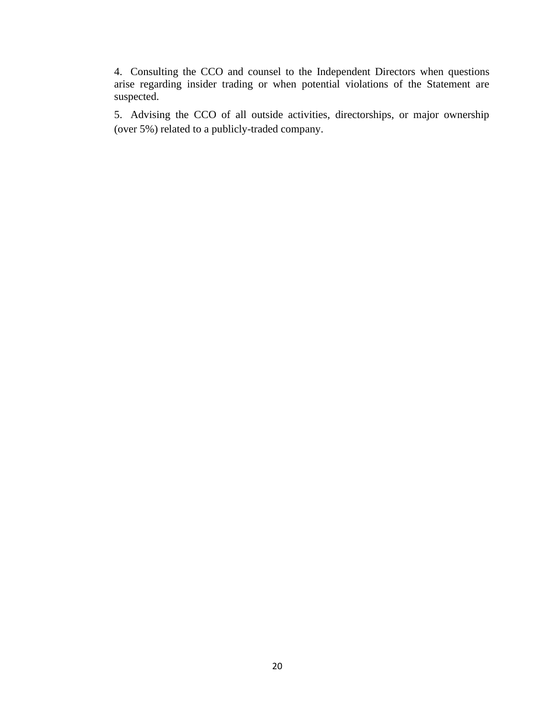4. Consulting the CCO and counsel to the Independent Directors when questions arise regarding insider trading or when potential violations of the Statement are suspected.

<span id="page-19-0"></span>5. Advising the CCO of all outside activities, directorships, or major ownership (over 5%) related to a publicly-traded company.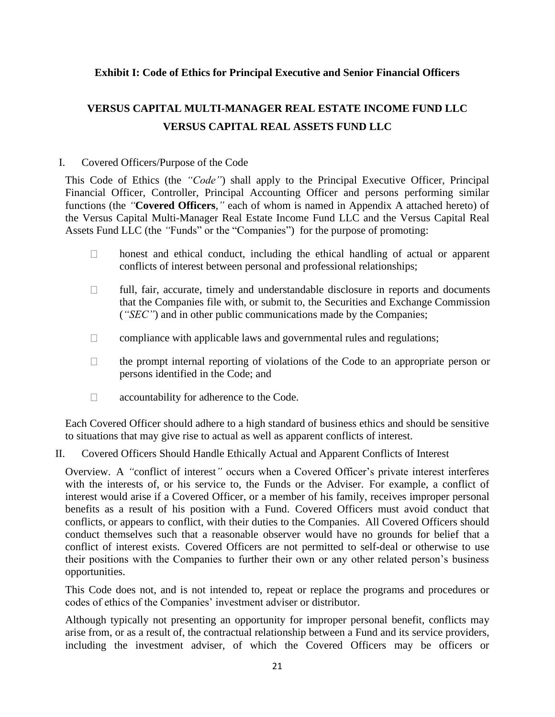# **Exhibit I: Code of Ethics for Principal Executive and Senior Financial Officers**

# **VERSUS CAPITAL MULTI-MANAGER REAL ESTATE INCOME FUND LLC VERSUS CAPITAL REAL ASSETS FUND LLC**

## I. Covered Officers/Purpose of the Code

This Code of Ethics (the *"Code"*) shall apply to the Principal Executive Officer, Principal Financial Officer, Controller, Principal Accounting Officer and persons performing similar functions (the *"***Covered Officers***,"* each of whom is named in Appendix A attached hereto) of the Versus Capital Multi-Manager Real Estate Income Fund LLC and the Versus Capital Real Assets Fund LLC (the *"*Funds" or the "Companies") for the purpose of promoting:

- honest and ethical conduct, including the ethical handling of actual or apparent  $\Box$ conflicts of interest between personal and professional relationships;
- $\Box$ full, fair, accurate, timely and understandable disclosure in reports and documents that the Companies file with, or submit to, the Securities and Exchange Commission (*"SEC"*) and in other public communications made by the Companies;
- $\Box$ compliance with applicable laws and governmental rules and regulations;
- the prompt internal reporting of violations of the Code to an appropriate person or  $\Box$ persons identified in the Code; and
- $\Box$ accountability for adherence to the Code.

Each Covered Officer should adhere to a high standard of business ethics and should be sensitive to situations that may give rise to actual as well as apparent conflicts of interest.

### II. Covered Officers Should Handle Ethically Actual and Apparent Conflicts of Interest

Overview. A *"*conflict of interest*"* occurs when a Covered Officer's private interest interferes with the interests of, or his service to, the Funds or the Adviser. For example, a conflict of interest would arise if a Covered Officer, or a member of his family, receives improper personal benefits as a result of his position with a Fund. Covered Officers must avoid conduct that conflicts, or appears to conflict, with their duties to the Companies. All Covered Officers should conduct themselves such that a reasonable observer would have no grounds for belief that a conflict of interest exists. Covered Officers are not permitted to self-deal or otherwise to use their positions with the Companies to further their own or any other related person's business opportunities.

This Code does not, and is not intended to, repeat or replace the programs and procedures or codes of ethics of the Companies' investment adviser or distributor.

Although typically not presenting an opportunity for improper personal benefit, conflicts may arise from, or as a result of, the contractual relationship between a Fund and its service providers, including the investment adviser, of which the Covered Officers may be officers or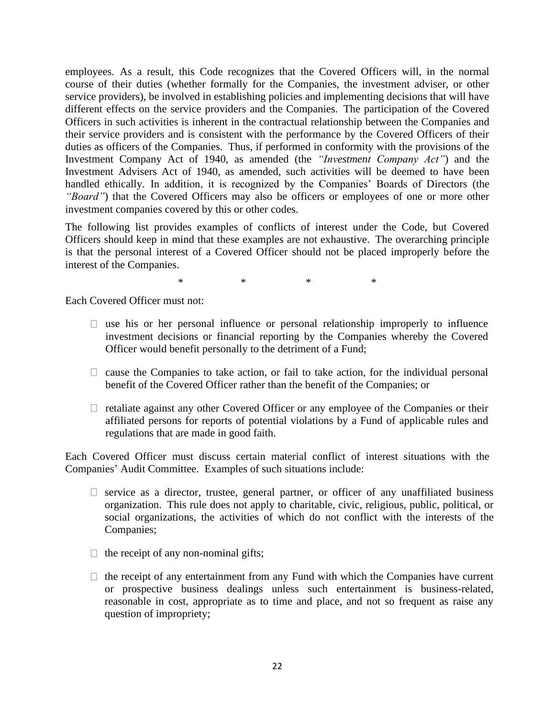employees. As a result, this Code recognizes that the Covered Officers will, in the normal course of their duties (whether formally for the Companies, the investment adviser, or other service providers), be involved in establishing policies and implementing decisions that will have different effects on the service providers and the Companies. The participation of the Covered Officers in such activities is inherent in the contractual relationship between the Companies and their service providers and is consistent with the performance by the Covered Officers of their duties as officers of the Companies. Thus, if performed in conformity with the provisions of the Investment Company Act of 1940, as amended (the *"Investment Company Act"*) and the Investment Advisers Act of 1940, as amended, such activities will be deemed to have been handled ethically. In addition, it is recognized by the Companies' Boards of Directors (the "Board") that the Covered Officers may also be officers or employees of one or more other investment companies covered by this or other codes.

The following list provides examples of conflicts of interest under the Code, but Covered Officers should keep in mind that these examples are not exhaustive. The overarching principle is that the personal interest of a Covered Officer should not be placed improperly before the interest of the Companies.

\* \* \* \*

Each Covered Officer must not:

- $\Box$  use his or her personal influence or personal relationship improperly to influence investment decisions or financial reporting by the Companies whereby the Covered Officer would benefit personally to the detriment of a Fund;
- $\Box$  cause the Companies to take action, or fail to take action, for the individual personal benefit of the Covered Officer rather than the benefit of the Companies; or
- $\Box$  retaliate against any other Covered Officer or any employee of the Companies or their affiliated persons for reports of potential violations by a Fund of applicable rules and regulations that are made in good faith.

Each Covered Officer must discuss certain material conflict of interest situations with the Companies' Audit Committee. Examples of such situations include:

- $\Box$  service as a director, trustee, general partner, or officer of any unaffiliated business organization. This rule does not apply to charitable, civic, religious, public, political, or social organizations, the activities of which do not conflict with the interests of the Companies;
- $\Box$  the receipt of any non-nominal gifts;
- $\Box$  the receipt of any entertainment from any Fund with which the Companies have current or prospective business dealings unless such entertainment is business-related, reasonable in cost, appropriate as to time and place, and not so frequent as raise any question of impropriety;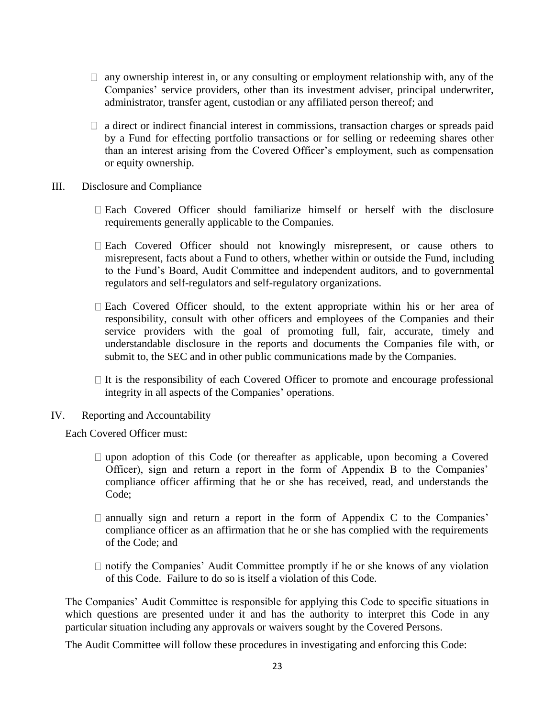- $\Box$  any ownership interest in, or any consulting or employment relationship with, any of the Companies' service providers, other than its investment adviser, principal underwriter, administrator, transfer agent, custodian or any affiliated person thereof; and
- $\Box$  a direct or indirect financial interest in commissions, transaction charges or spreads paid by a Fund for effecting portfolio transactions or for selling or redeeming shares other than an interest arising from the Covered Officer's employment, such as compensation or equity ownership.
- III. Disclosure and Compliance
	- Each Covered Officer should familiarize himself or herself with the disclosure requirements generally applicable to the Companies.
	- $\Box$  Each Covered Officer should not knowingly misrepresent, or cause others to misrepresent, facts about a Fund to others, whether within or outside the Fund, including to the Fund's Board, Audit Committee and independent auditors, and to governmental regulators and self-regulators and self-regulatory organizations.
	- Each Covered Officer should, to the extent appropriate within his or her area of responsibility, consult with other officers and employees of the Companies and their service providers with the goal of promoting full, fair, accurate, timely and understandable disclosure in the reports and documents the Companies file with, or submit to, the SEC and in other public communications made by the Companies.
	- $\Box$  It is the responsibility of each Covered Officer to promote and encourage professional integrity in all aspects of the Companies' operations.
- IV. Reporting and Accountability

Each Covered Officer must:

- $\Box$  upon adoption of this Code (or thereafter as applicable, upon becoming a Covered Officer), sign and return a report in the form of Appendix B to the Companies' compliance officer affirming that he or she has received, read, and understands the Code;
- $\Box$  annually sign and return a report in the form of Appendix C to the Companies' compliance officer as an affirmation that he or she has complied with the requirements of the Code; and
- $\Box$  notify the Companies' Audit Committee promptly if he or she knows of any violation of this Code. Failure to do so is itself a violation of this Code.

The Companies' Audit Committee is responsible for applying this Code to specific situations in which questions are presented under it and has the authority to interpret this Code in any particular situation including any approvals or waivers sought by the Covered Persons.

The Audit Committee will follow these procedures in investigating and enforcing this Code: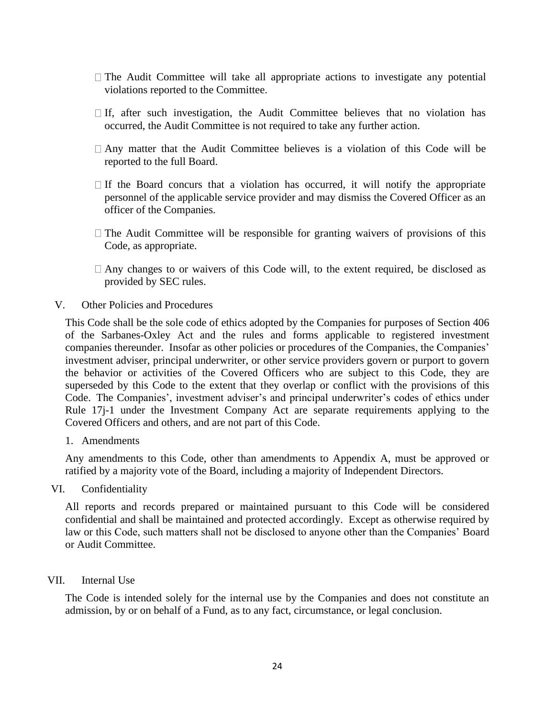- $\Box$  The Audit Committee will take all appropriate actions to investigate any potential violations reported to the Committee.
- $\Box$  If, after such investigation, the Audit Committee believes that no violation has occurred, the Audit Committee is not required to take any further action.
- $\Box$  Any matter that the Audit Committee believes is a violation of this Code will be reported to the full Board.
- $\Box$  If the Board concurs that a violation has occurred, it will notify the appropriate personnel of the applicable service provider and may dismiss the Covered Officer as an officer of the Companies.
- $\Box$  The Audit Committee will be responsible for granting waivers of provisions of this Code, as appropriate.
- $\Box$  Any changes to or waivers of this Code will, to the extent required, be disclosed as provided by SEC rules.
- V. Other Policies and Procedures

This Code shall be the sole code of ethics adopted by the Companies for purposes of Section 406 of the Sarbanes-Oxley Act and the rules and forms applicable to registered investment companies thereunder. Insofar as other policies or procedures of the Companies, the Companies' investment adviser, principal underwriter, or other service providers govern or purport to govern the behavior or activities of the Covered Officers who are subject to this Code, they are superseded by this Code to the extent that they overlap or conflict with the provisions of this Code. The Companies', investment adviser's and principal underwriter's codes of ethics under Rule 17j-1 under the Investment Company Act are separate requirements applying to the Covered Officers and others, and are not part of this Code.

1. Amendments

Any amendments to this Code, other than amendments to Appendix A, must be approved or ratified by a majority vote of the Board, including a majority of Independent Directors.

VI. Confidentiality

All reports and records prepared or maintained pursuant to this Code will be considered confidential and shall be maintained and protected accordingly. Except as otherwise required by law or this Code, such matters shall not be disclosed to anyone other than the Companies' Board or Audit Committee.

VII. Internal Use

The Code is intended solely for the internal use by the Companies and does not constitute an admission, by or on behalf of a Fund, as to any fact, circumstance, or legal conclusion.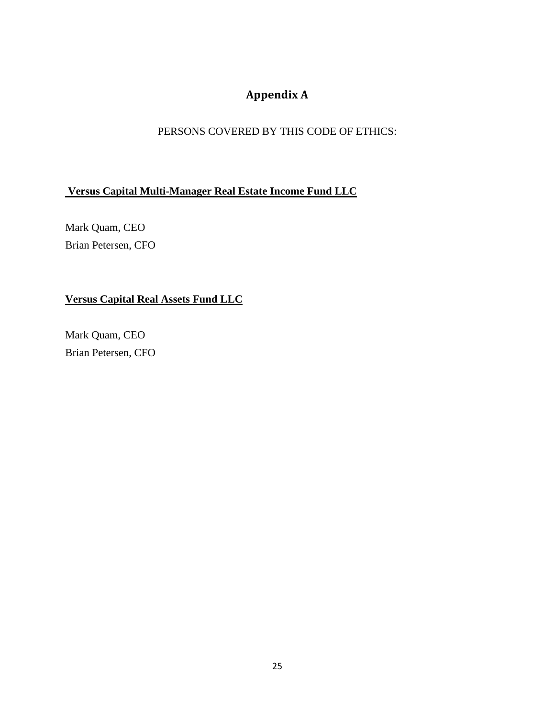# **Appendix A**

# PERSONS COVERED BY THIS CODE OF ETHICS:

# <span id="page-24-0"></span>**Versus Capital Multi-Manager Real Estate Income Fund LLC**

Mark Quam, CEO Brian Petersen, CFO

# **Versus Capital Real Assets Fund LLC**

Mark Quam, CEO Brian Petersen, CFO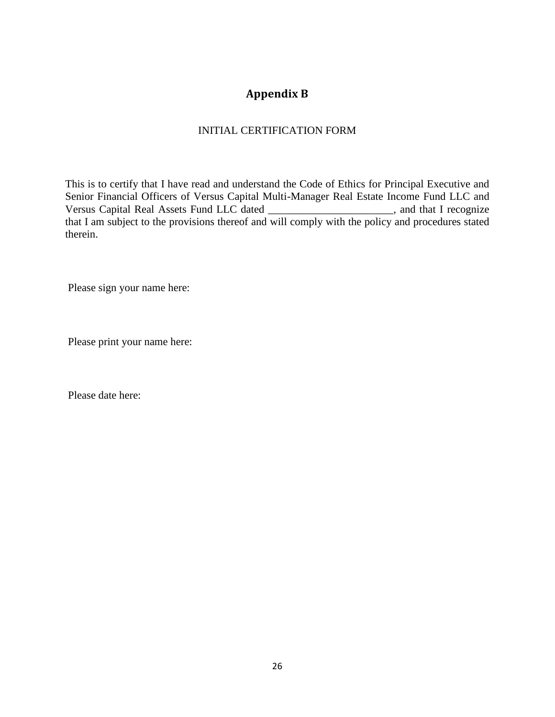# **Appendix B**

## INITIAL CERTIFICATION FORM

<span id="page-25-0"></span>This is to certify that I have read and understand the Code of Ethics for Principal Executive and Senior Financial Officers of Versus Capital Multi-Manager Real Estate Income Fund LLC and Versus Capital Real Assets Fund LLC dated \_\_\_\_\_\_\_\_\_\_\_\_\_\_\_\_\_\_\_\_\_\_\_, and that I recognize that I am subject to the provisions thereof and will comply with the policy and procedures stated therein.

Please sign your name here:

Please print your name here:

Please date here: